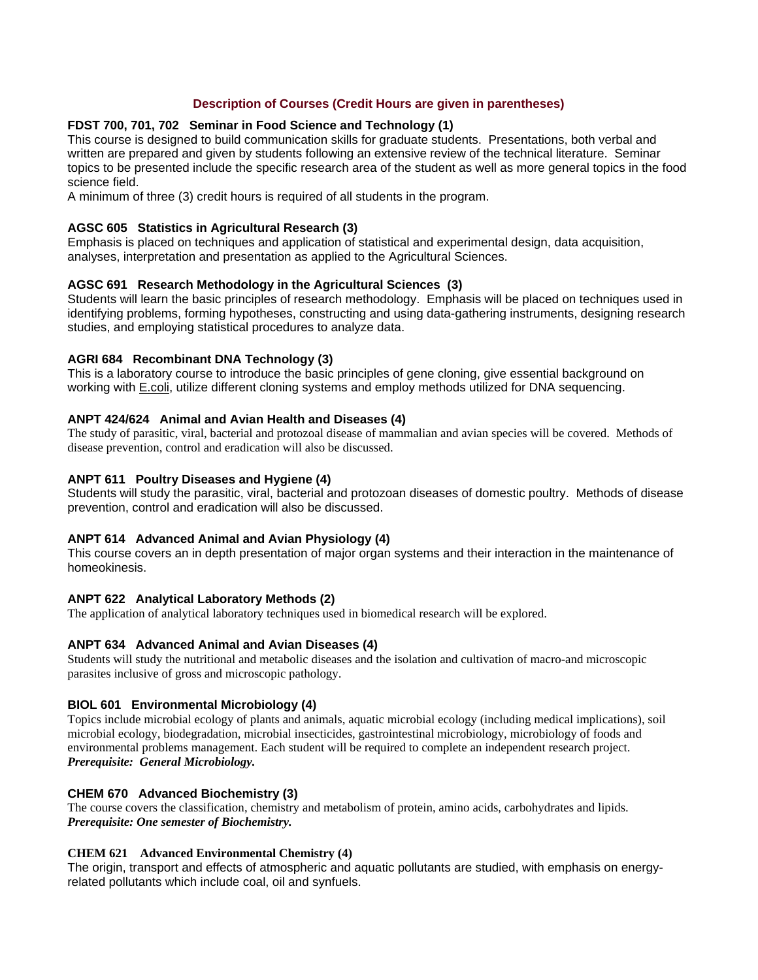# **Description of Courses (Credit Hours are given in parentheses)**

# **FDST 700, 701, 702 Seminar in Food Science and Technology (1)**

This course is designed to build communication skills for graduate students. Presentations, both verbal and written are prepared and given by students following an extensive review of the technical literature. Seminar topics to be presented include the specific research area of the student as well as more general topics in the food science field.

A minimum of three (3) credit hours is required of all students in the program.

### **AGSC 605 Statistics in Agricultural Research (3)**

Emphasis is placed on techniques and application of statistical and experimental design, data acquisition, analyses, interpretation and presentation as applied to the Agricultural Sciences.

# **AGSC 691 Research Methodology in the Agricultural Sciences (3)**

Students will learn the basic principles of research methodology. Emphasis will be placed on techniques used in identifying problems, forming hypotheses, constructing and using data-gathering instruments, designing research studies, and employing statistical procedures to analyze data.

# **AGRI 684 Recombinant DNA Technology (3)**

This is a laboratory course to introduce the basic principles of gene cloning, give essential background on working with **E.coli**, utilize different cloning systems and employ methods utilized for DNA sequencing.

# **ANPT 424/624 Animal and Avian Health and Diseases (4)**

The study of parasitic, viral, bacterial and protozoal disease of mammalian and avian species will be covered. Methods of disease prevention, control and eradication will also be discussed.

# **ANPT 611 Poultry Diseases and Hygiene (4)**

Students will study the parasitic, viral, bacterial and protozoan diseases of domestic poultry. Methods of disease prevention, control and eradication will also be discussed.

### **ANPT 614 Advanced Animal and Avian Physiology (4)**

This course covers an in depth presentation of major organ systems and their interaction in the maintenance of homeokinesis.

# **ANPT 622 Analytical Laboratory Methods (2)**

The application of analytical laboratory techniques used in biomedical research will be explored.

### **ANPT 634 Advanced Animal and Avian Diseases (4)**

Students will study the nutritional and metabolic diseases and the isolation and cultivation of macro-and microscopic parasites inclusive of gross and microscopic pathology.

### **BIOL 601 Environmental Microbiology (4)**

Topics include microbial ecology of plants and animals, aquatic microbial ecology (including medical implications), soil microbial ecology, biodegradation, microbial insecticides, gastrointestinal microbiology, microbiology of foods and environmental problems management. Each student will be required to complete an independent research project. *Prerequisite: General Microbiology.*

### **CHEM 670 Advanced Biochemistry (3)**

The course covers the classification, chemistry and metabolism of protein, amino acids, carbohydrates and lipids. *Prerequisite: One semester of Biochemistry.*

### **CHEM 621 Advanced Environmental Chemistry (4)**

The origin, transport and effects of atmospheric and aquatic pollutants are studied, with emphasis on energyrelated pollutants which include coal, oil and synfuels.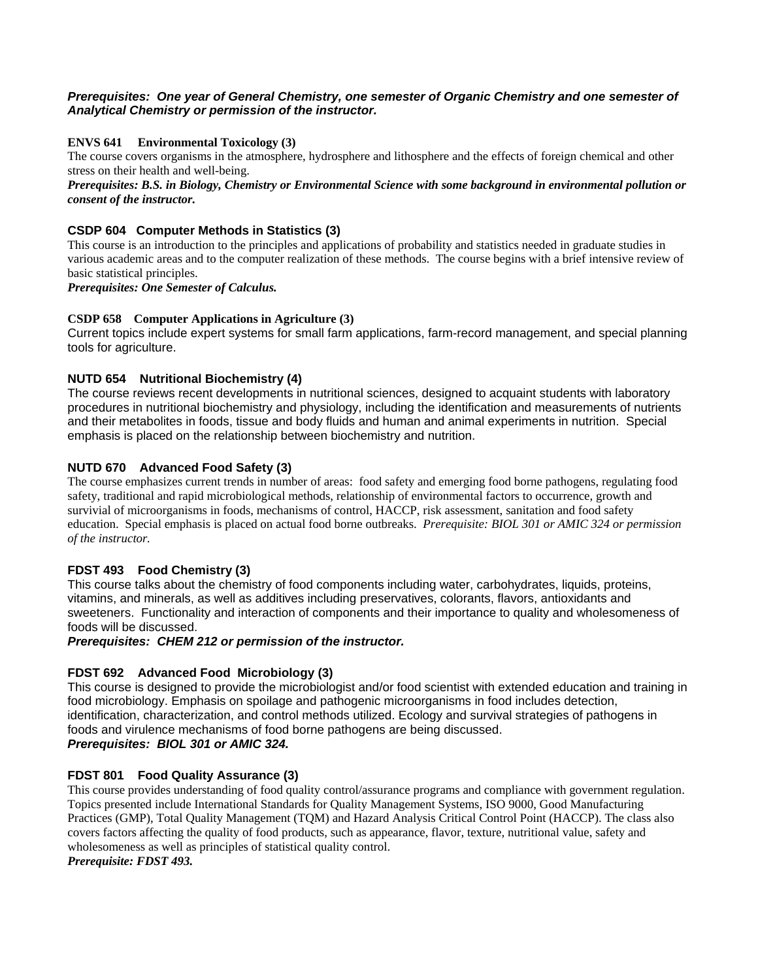# *Prerequisites: One year of General Chemistry, one semester of Organic Chemistry and one semester of Analytical Chemistry or permission of the instructor.*

# **ENVS 641 Environmental Toxicology (3)**

The course covers organisms in the atmosphere, hydrosphere and lithosphere and the effects of foreign chemical and other stress on their health and well-being.

### *Prerequisites: B.S. in Biology, Chemistry or Environmental Science with some background in environmental pollution or consent of the instructor.*

# **CSDP 604 Computer Methods in Statistics (3)**

This course is an introduction to the principles and applications of probability and statistics needed in graduate studies in various academic areas and to the computer realization of these methods. The course begins with a brief intensive review of basic statistical principles.

*Prerequisites: One Semester of Calculus.*

### **CSDP 658 Computer Applications in Agriculture (3)**

Current topics include expert systems for small farm applications, farm-record management, and special planning tools for agriculture.

# **NUTD 654 Nutritional Biochemistry (4)**

The course reviews recent developments in nutritional sciences, designed to acquaint students with laboratory procedures in nutritional biochemistry and physiology, including the identification and measurements of nutrients and their metabolites in foods, tissue and body fluids and human and animal experiments in nutrition. Special emphasis is placed on the relationship between biochemistry and nutrition.

# **NUTD 670 Advanced Food Safety (3)**

The course emphasizes current trends in number of areas: food safety and emerging food borne pathogens, regulating food safety, traditional and rapid microbiological methods, relationship of environmental factors to occurrence, growth and survivial of microorganisms in foods, mechanisms of control, HACCP, risk assessment, sanitation and food safety education. Special emphasis is placed on actual food borne outbreaks. *Prerequisite: BIOL 301 or AMIC 324 or permission of the instructor.*

### **FDST 493 Food Chemistry (3)**

This course talks about the chemistry of food components including water, carbohydrates, liquids, proteins, vitamins, and minerals, as well as additives including preservatives, colorants, flavors, antioxidants and sweeteners. Functionality and interaction of components and their importance to quality and wholesomeness of foods will be discussed.

### *Prerequisites: CHEM 212 or permission of the instructor.*

### **FDST 692 Advanced Food Microbiology (3)**

This course is designed to provide the microbiologist and/or food scientist with extended education and training in food microbiology. Emphasis on spoilage and pathogenic microorganisms in food includes detection, identification, characterization, and control methods utilized. Ecology and survival strategies of pathogens in foods and virulence mechanisms of food borne pathogens are being discussed. *Prerequisites: BIOL 301 or AMIC 324.*

### **FDST 801 Food Quality Assurance (3)**

This course provides understanding of food quality control/assurance programs and compliance with government regulation. Topics presented include International Standards for Quality Management Systems, ISO 9000, Good Manufacturing Practices (GMP), Total Quality Management (TQM) and Hazard Analysis Critical Control Point (HACCP). The class also covers factors affecting the quality of food products, such as appearance, flavor, texture, nutritional value, safety and wholesomeness as well as principles of statistical quality control. *Prerequisite: FDST 493.*